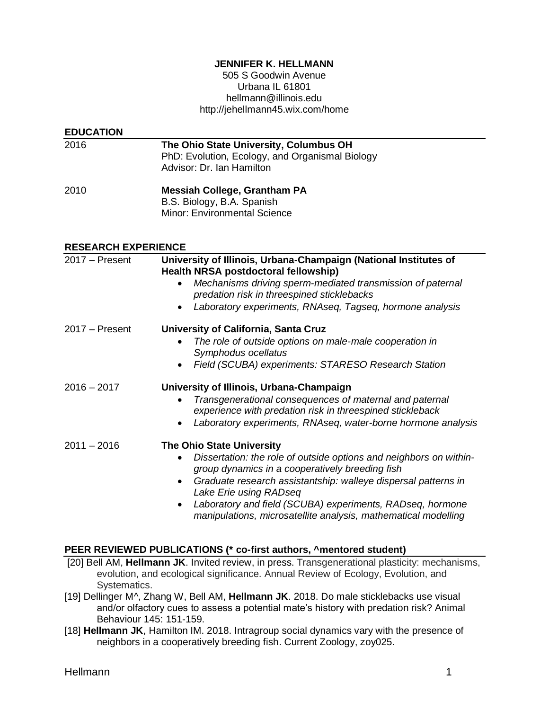#### **JENNIFER K. HELLMANN**

505 S Goodwin Avenue Urbana IL 61801 hellmann@illinois.edu http://jehellmann45.wix.com/home

| <b>EDUCATION</b>           |                                                                                                                                                                                                                                                                                                                                                                                                   |
|----------------------------|---------------------------------------------------------------------------------------------------------------------------------------------------------------------------------------------------------------------------------------------------------------------------------------------------------------------------------------------------------------------------------------------------|
| 2016                       | The Ohio State University, Columbus OH<br>PhD: Evolution, Ecology, and Organismal Biology<br>Advisor: Dr. Ian Hamilton                                                                                                                                                                                                                                                                            |
| 2010                       | <b>Messiah College, Grantham PA</b><br>B.S. Biology, B.A. Spanish<br><b>Minor: Environmental Science</b>                                                                                                                                                                                                                                                                                          |
| <b>RESEARCH EXPERIENCE</b> |                                                                                                                                                                                                                                                                                                                                                                                                   |
| $2017 -$ Present           | University of Illinois, Urbana-Champaign (National Institutes of<br>Health NRSA postdoctoral fellowship)<br>Mechanisms driving sperm-mediated transmission of paternal<br>$\bullet$<br>predation risk in threespined sticklebacks<br>Laboratory experiments, RNAseq, Tagseq, hormone analysis<br>$\bullet$                                                                                        |
| $2017 -$ Present           | University of California, Santa Cruz<br>The role of outside options on male-male cooperation in<br>Symphodus ocellatus<br>Field (SCUBA) experiments: STARESO Research Station                                                                                                                                                                                                                     |
| $2016 - 2017$              | University of Illinois, Urbana-Champaign<br>Transgenerational consequences of maternal and paternal<br>experience with predation risk in threespined stickleback<br>Laboratory experiments, RNAseq, water-borne hormone analysis                                                                                                                                                                  |
| $2011 - 2016$              | <b>The Ohio State University</b><br>Dissertation: the role of outside options and neighbors on within-<br>group dynamics in a cooperatively breeding fish<br>Graduate research assistantship: walleye dispersal patterns in<br>Lake Erie using RADseq<br>Laboratory and field (SCUBA) experiments, RADseq, hormone<br>$\bullet$<br>manipulations, microsatellite analysis, mathematical modelling |
|                            | PEER REVIEWED PUBLICATIONS (* co-first authors, ^mentored student)                                                                                                                                                                                                                                                                                                                                |
|                            | [20] Bell AM, Hellmann JK. Invited review, in press. Transgenerational plasticity: mechanisms,<br>evolution, and ecological significance. Annual Review of Ecology, Evolution, and                                                                                                                                                                                                                |

Systematics. [19] Dellinger M^, Zhang W, Bell AM, **Hellmann JK**. 2018. Do male sticklebacks use visual and/or olfactory cues to assess a potential mate's history with predation risk? Animal Behaviour 145: 151-159.

[18] **Hellmann JK**, Hamilton IM. 2018. Intragroup social dynamics vary with the presence of neighbors in a cooperatively breeding fish. Current Zoology, zoy025.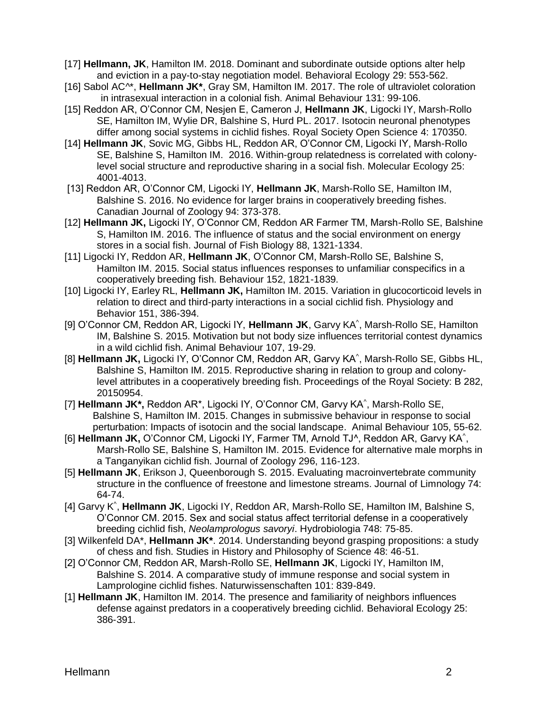- [17] **Hellmann, JK**, Hamilton IM. 2018. Dominant and subordinate outside options alter help and eviction in a pay-to-stay negotiation model. Behavioral Ecology 29: 553-562.
- [16] Sabol AC^\*, **Hellmann JK\***, Gray SM, Hamilton IM. 2017. The role of ultraviolet coloration in intrasexual interaction in a colonial fish. Animal Behaviour 131: 99-106.
- [15] Reddon AR, O'Connor CM, Nesjen E, Cameron J, **Hellmann JK**, Ligocki IY, Marsh-Rollo SE, Hamilton IM, Wylie DR, Balshine S, Hurd PL. 2017. Isotocin neuronal phenotypes differ among social systems in cichlid fishes. Royal Society Open Science 4: 170350.
- [14] **Hellmann JK**, Sovic MG, Gibbs HL, Reddon AR, O'Connor CM, Ligocki IY, Marsh-Rollo SE, Balshine S, Hamilton IM. 2016. Within-group relatedness is correlated with colonylevel social structure and reproductive sharing in a social fish. Molecular Ecology 25: 4001-4013.
- [13] Reddon AR, O'Connor CM, Ligocki IY, **Hellmann JK**, Marsh-Rollo SE, Hamilton IM, Balshine S. 2016. No evidence for larger brains in cooperatively breeding fishes. Canadian Journal of Zoology 94: 373-378.
- [12] **Hellmann JK,** Ligocki IY, O'Connor CM, Reddon AR Farmer TM, Marsh-Rollo SE, Balshine S, Hamilton IM. 2016. The influence of status and the social environment on energy stores in a social fish. Journal of Fish Biology 88, 1321-1334.
- [11] Ligocki IY, Reddon AR, **Hellmann JK**, O'Connor CM, Marsh-Rollo SE, Balshine S, Hamilton IM. 2015. Social status influences responses to unfamiliar conspecifics in a cooperatively breeding fish. Behaviour 152, 1821-1839.
- [10] Ligocki IY, Earley RL, **Hellmann JK, Hamilton IM. 2015. Variation in glucocorticoid levels in** relation to direct and third-party interactions in a social cichlid fish. Physiology and Behavior 151, 386-394.
- [9] O'Connor CM, Reddon AR, Ligocki IY, **Hellmann JK**, Garvy KA^ , Marsh-Rollo SE, Hamilton IM, Balshine S. 2015. Motivation but not body size influences territorial contest dynamics in a wild cichlid fish. Animal Behaviour 107, 19-29.
- [8] **Hellmann JK,** Ligocki IY, O'Connor CM, Reddon AR, Garvy KA^ , Marsh-Rollo SE, Gibbs HL, Balshine S, Hamilton IM. 2015. Reproductive sharing in relation to group and colonylevel attributes in a cooperatively breeding fish. Proceedings of the Royal Society: B 282, 20150954.
- [7] **Hellmann JK\*,** Reddon AR\*, Ligocki IY, O'Connor CM, Garvy KA^ , Marsh-Rollo SE, Balshine S, Hamilton IM. 2015. Changes in submissive behaviour in response to social perturbation: Impacts of isotocin and the social landscape. Animal Behaviour 105, 55-62.
- [6] Hellmann JK, O'Connor CM, Ligocki IY, Farmer TM, Arnold TJ<sup>A</sup>, Reddon AR, Garvy KA<sup>A</sup>, Marsh-Rollo SE, Balshine S, Hamilton IM. 2015. Evidence for alternative male morphs in a Tanganyikan cichlid fish. Journal of Zoology 296, 116-123.
- [5] **Hellmann JK**, Erikson J, Queenborough S. 2015. Evaluating macroinvertebrate community structure in the confluence of freestone and limestone streams. Journal of Limnology 74: 64-74.
- [4] Garvy K<sup>\*</sup>, Hellmann JK, Ligocki IY, Reddon AR, Marsh-Rollo SE, Hamilton IM, Balshine S, O'Connor CM. 2015. Sex and social status affect territorial defense in a cooperatively breeding cichlid fish, *Neolamprologus savoryi*. Hydrobiologia 748: 75-85.
- [3] Wilkenfeld DA\*, **Hellmann JK\***. 2014. Understanding beyond grasping propositions: a study of chess and fish. Studies in History and Philosophy of Science 48: 46-51.
- [2] O'Connor CM, Reddon AR, Marsh-Rollo SE, **Hellmann JK**, Ligocki IY, Hamilton IM, Balshine S. 2014. A comparative study of immune response and social system in Lamprologine cichlid fishes. Naturwissenschaften 101: 839-849.
- [1] **Hellmann JK**, Hamilton IM. 2014. The presence and familiarity of neighbors influences defense against predators in a cooperatively breeding cichlid. Behavioral Ecology 25: 386-391.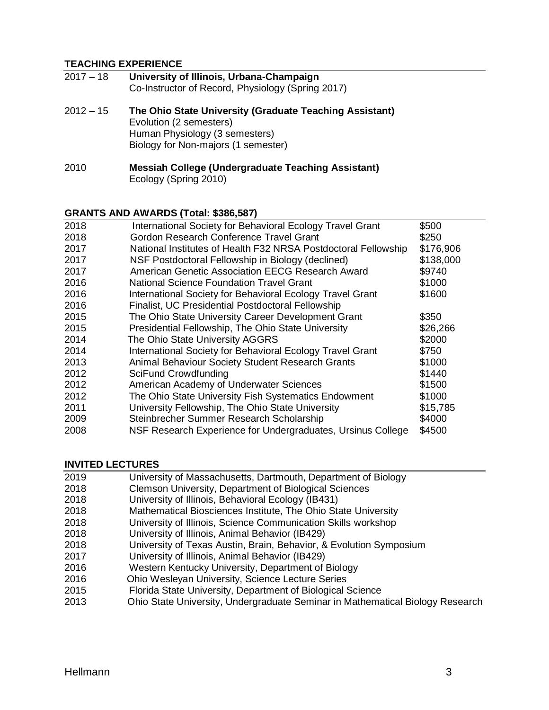### **TEACHING EXPERIENCE**

| $2017 - 18$ | University of Illinois, Urbana-Champaign<br>Co-Instructor of Record, Physiology (Spring 2017)                                                               |
|-------------|-------------------------------------------------------------------------------------------------------------------------------------------------------------|
| $2012 - 15$ | The Ohio State University (Graduate Teaching Assistant)<br>Evolution (2 semesters)<br>Human Physiology (3 semesters)<br>Biology for Non-majors (1 semester) |
| 2010        | <b>Messiah College (Undergraduate Teaching Assistant)</b>                                                                                                   |

Ecology (Spring 2010)

#### **GRANTS AND AWARDS (Total: \$386,587)**

| 2018 | International Society for Behavioral Ecology Travel Grant      | \$500     |
|------|----------------------------------------------------------------|-----------|
| 2018 | Gordon Research Conference Travel Grant                        | \$250     |
| 2017 | National Institutes of Health F32 NRSA Postdoctoral Fellowship | \$176,906 |
| 2017 | NSF Postdoctoral Fellowship in Biology (declined)              | \$138,000 |
| 2017 | American Genetic Association EECG Research Award               | \$9740    |
| 2016 | <b>National Science Foundation Travel Grant</b>                | \$1000    |
| 2016 | International Society for Behavioral Ecology Travel Grant      | \$1600    |
| 2016 | Finalist, UC Presidential Postdoctoral Fellowship              |           |
| 2015 | The Ohio State University Career Development Grant             | \$350     |
| 2015 | Presidential Fellowship, The Ohio State University             | \$26,266  |
| 2014 | The Ohio State University AGGRS                                | \$2000    |
| 2014 | International Society for Behavioral Ecology Travel Grant      | \$750     |
| 2013 | <b>Animal Behaviour Society Student Research Grants</b>        | \$1000    |
| 2012 | SciFund Crowdfunding                                           | \$1440    |
| 2012 | American Academy of Underwater Sciences                        | \$1500    |
| 2012 | The Ohio State University Fish Systematics Endowment           | \$1000    |
| 2011 | University Fellowship, The Ohio State University               | \$15,785  |
| 2009 | Steinbrecher Summer Research Scholarship                       | \$4000    |
| 2008 | NSF Research Experience for Undergraduates, Ursinus College    | \$4500    |

#### **INVITED LECTURES**

| 2019 | University of Massachusetts, Dartmouth, Department of Biology |  |  |  |
|------|---------------------------------------------------------------|--|--|--|
|------|---------------------------------------------------------------|--|--|--|

- 2018 Clemson University, Department of Biological Sciences
- 2018 University of Illinois, Behavioral Ecology (IB431)
- 2018 Mathematical Biosciences Institute, The Ohio State University
- 2018 University of Illinois, Science Communication Skills workshop
- 2018 University of Illinois, Animal Behavior (IB429)
- 2018 University of Texas Austin, Brain, Behavior, & Evolution Symposium
- 2017 University of Illinois, Animal Behavior (IB429)
- 2016 Western Kentucky University, Department of Biology
- 2016 Ohio Wesleyan University, Science Lecture Series
- 2015 Florida State University, Department of Biological Science
- 2013 Ohio State University, Undergraduate Seminar in Mathematical Biology Research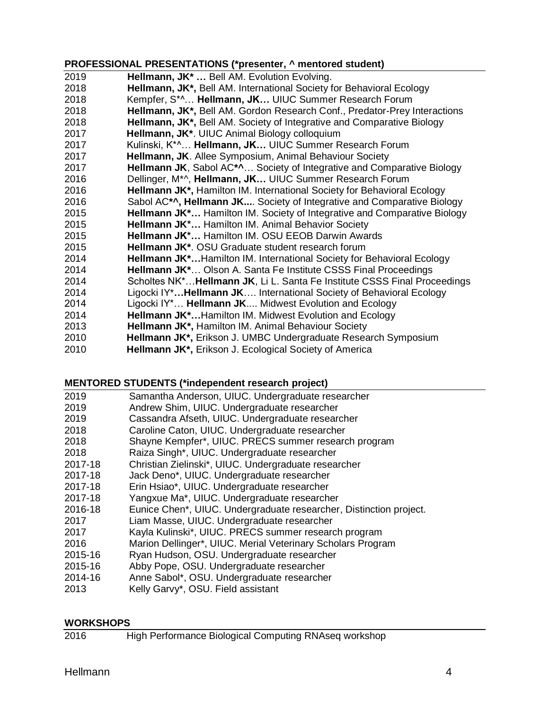# **PROFESSIONAL PRESENTATIONS (\*presenter, ^ mentored student)**

| 2019 | Hellmann, JK <sup>*</sup> Bell AM. Evolution Evolving.                               |
|------|--------------------------------------------------------------------------------------|
| 2018 | Hellmann, JK*, Bell AM. International Society for Behavioral Ecology                 |
| 2018 | Kempfer, S <sup>*^</sup> Hellmann, JK UIUC Summer Research Forum                     |
| 2018 | Hellmann, JK*, Bell AM. Gordon Research Conf., Predator-Prey Interactions            |
| 2018 | Hellmann, JK*, Bell AM. Society of Integrative and Comparative Biology               |
| 2017 | Hellmann, JK*. UIUC Animal Biology colloquium                                        |
| 2017 | Kulinski, K <sup>*^</sup> Hellmann, JK UIUC Summer Research Forum                    |
| 2017 | Hellmann, JK. Allee Symposium, Animal Behaviour Society                              |
| 2017 | <b>Hellmann JK, Sabol AC*^ Society of Integrative and Comparative Biology</b>        |
| 2016 | Dellinger, M <sup>*^</sup> , Hellmann, JK UIUC Summer Research Forum                 |
| 2016 | <b>Hellmann JK*, Hamilton IM. International Society for Behavioral Ecology</b>       |
| 2016 | Sabol AC <sup>*</sup> ^, Hellmann JK Society of Integrative and Comparative Biology  |
| 2015 | Hellmann JK <sup>*</sup> Hamilton IM. Society of Integrative and Comparative Biology |
| 2015 | Hellmann JK* Hamilton IM. Animal Behavior Society                                    |
| 2015 | Hellmann JK* Hamilton IM. OSU EEOB Darwin Awards                                     |
| 2015 | Hellmann JK*. OSU Graduate student research forum                                    |
| 2014 | Hellmann JK*Hamilton IM. International Society for Behavioral Ecology                |
| 2014 | Hellmann JK <sup>*</sup> Olson A. Santa Fe Institute CSSS Final Proceedings          |
| 2014 | Scholtes NK*Hellmann JK, Li L. Santa Fe Institute CSSS Final Proceedings             |
| 2014 | Ligocki IY*Hellmann JK International Society of Behavioral Ecology                   |
| 2014 | Ligocki IY* Hellmann JK Midwest Evolution and Ecology                                |
| 2014 | Hellmann JK*Hamilton IM. Midwest Evolution and Ecology                               |
| 2013 | Hellmann JK*, Hamilton IM. Animal Behaviour Society                                  |
| 2010 | Hellmann JK*, Erikson J. UMBC Undergraduate Research Symposium                       |
| 2010 | Hellmann JK*, Erikson J. Ecological Society of America                               |
|      |                                                                                      |

# **MENTORED STUDENTS (\*independent research project)**

| 2019    | Samantha Anderson, UIUC. Undergraduate researcher                  |
|---------|--------------------------------------------------------------------|
| 2019    | Andrew Shim, UIUC. Undergraduate researcher                        |
| 2019    | Cassandra Afseth, UIUC. Undergraduate researcher                   |
| 2018    | Caroline Caton, UIUC. Undergraduate researcher                     |
| 2018    | Shayne Kempfer*, UIUC. PRECS summer research program               |
| 2018    | Raiza Singh*, UIUC. Undergraduate researcher                       |
| 2017-18 | Christian Zielinski*, UIUC. Undergraduate researcher               |
| 2017-18 | Jack Deno*, UIUC. Undergraduate researcher                         |
| 2017-18 | Erin Hsiao*, UIUC. Undergraduate researcher                        |
| 2017-18 | Yangxue Ma*, UIUC. Undergraduate researcher                        |
| 2016-18 | Eunice Chen*, UIUC. Undergraduate researcher, Distinction project. |
| 2017    | Liam Masse, UIUC. Undergraduate researcher                         |
| 2017    | Kayla Kulinski*, UIUC. PRECS summer research program               |
| 2016    | Marion Dellinger*, UIUC. Merial Veterinary Scholars Program        |
| 2015-16 | Ryan Hudson, OSU. Undergraduate researcher                         |
| 2015-16 | Abby Pope, OSU. Undergraduate researcher                           |
| 2014-16 | Anne Sabol*, OSU. Undergraduate researcher                         |
| 2013    | Kelly Garvy*, OSU. Field assistant                                 |
|         |                                                                    |

# **WORKSHOPS**

| 2016 | High Performance Biological Computing RNAseq workshop |  |  |
|------|-------------------------------------------------------|--|--|
|      |                                                       |  |  |